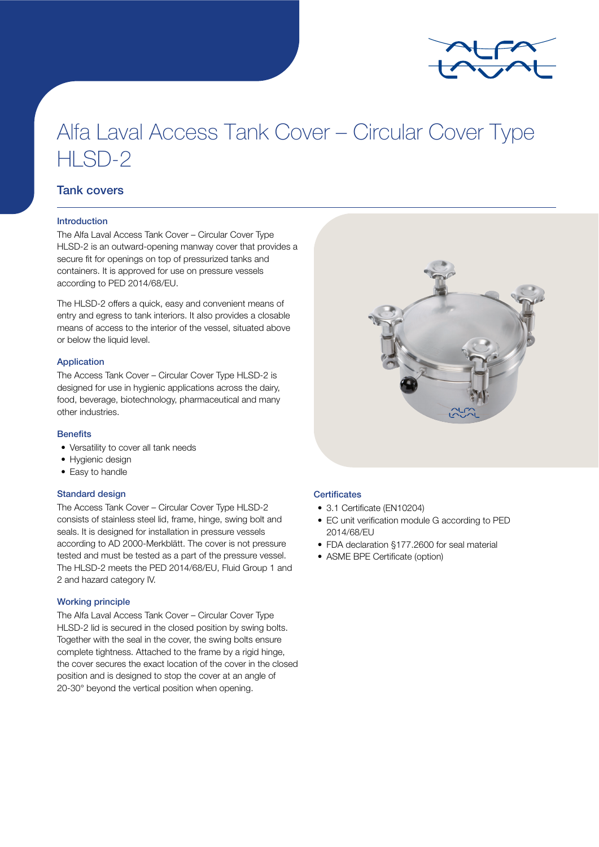

# Alfa Laval Access Tank Cover – Circular Cover Type HLSD-2

# Tank covers

## Introduction

The Alfa Laval Access Tank Cover – Circular Cover Type HLSD-2 is an outward-opening manway cover that provides a secure fit for openings on top of pressurized tanks and containers. It is approved for use on pressure vessels according to PED 2014/68/EU.

The HLSD-2 offers a quick, easy and convenient means of entry and egress to tank interiors. It also provides a closable means of access to the interior of the vessel, situated above or below the liquid level.

## Application

The Access Tank Cover – Circular Cover Type HLSD-2 is designed for use in hygienic applications across the dairy, food, beverage, biotechnology, pharmaceutical and many other industries.

#### **Benefits**

- Versatility to cover all tank needs
- Hygienic design
- Easy to handle

### Standard design

The Access Tank Cover – Circular Cover Type HLSD-2 consists of stainless steel lid, frame, hinge, swing bolt and seals. It is designed for installation in pressure vessels according to AD 2000-Merkblätt. The cover is not pressure tested and must be tested as a part of the pressure vessel. The HLSD-2 meets the PED 2014/68/EU, Fluid Group 1 and 2 and hazard category IV.

## Working principle

The Alfa Laval Access Tank Cover – Circular Cover Type HLSD-2 lid is secured in the closed position by swing bolts. Together with the seal in the cover, the swing bolts ensure complete tightness. Attached to the frame by a rigid hinge, the cover secures the exact location of the cover in the closed position and is designed to stop the cover at an angle of 20-30° beyond the vertical position when opening.

## **Certificates**

- 3.1 Certificate (EN10204)
- EC unit verification module G according to PED 2014/68/EU
- FDA declaration §177.2600 for seal material
- ASME BPE Certificate (option)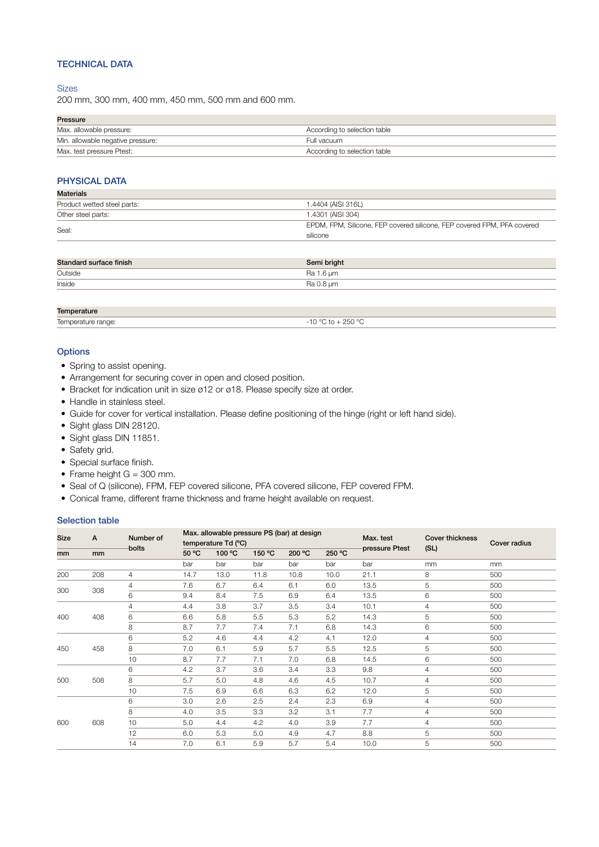# TECHNICAL DATA

## **Sizes**

200 mm, 300 mm, 400 mm, 450 mm, 500 mm and 600 mm.

## Pressure

| .                                 |                              |
|-----------------------------------|------------------------------|
| Max. allowable pressure:          | According to selection table |
| Min. allowable negative pressure: | Full vacuum                  |
| Max. test pressure Ptest:         | According to selection table |

## PHYSICAL DATA

| <b>Materials</b>            |                                                                         |
|-----------------------------|-------------------------------------------------------------------------|
| Product wetted steel parts: | 1.4404 (AISI 316L)                                                      |
| Other steel parts:          | 1.4301 (AISI 304)                                                       |
|                             | EPDM, FPM, Silicone, FEP covered silicone, FEP covered FPM, PFA covered |
| Seal:                       | silicone                                                                |
|                             |                                                                         |

| Standard surface finish | Semi bright |
|-------------------------|-------------|
| Outside                 | Ra 1.6 µm   |
| Inside                  | Ra 0.8 µm   |

| <b>Temner:</b><br>.<br>чшт.   |                                   |
|-------------------------------|-----------------------------------|
| $\sim$ $\sim$<br>$\sim$<br>חר | 0.250<br>$\overline{\phantom{a}}$ |
|                               |                                   |

### **Options**

- Spring to assist opening.
- Arrangement for securing cover in open and closed position.
- Bracket for indication unit in size ø12 or ø18. Please specify size at order.
- Handle in stainless steel.
- Guide for cover for vertical installation. Please define positioning of the hinge (right or left hand side).
- Sight glass DIN 28120.
- Sight glass DIN 11851.
- Safety grid.
- Special surface finish.
- Frame height  $G = 300$  mm.
- Seal of Q (silicone), FPM, FEP covered silicone, PFA covered silicone, FEP covered FPM.
- Conical frame, different frame thickness and frame height available on request.

## Selection table

| <b>Size</b> | $\mathsf{A}$ | Number of<br>bolts | Max. allowable pressure PS (bar) at design<br>temperature Td (°C) |        |        |        |        | Max. test      | <b>Cover thickness</b> | <b>Cover radius</b> |
|-------------|--------------|--------------------|-------------------------------------------------------------------|--------|--------|--------|--------|----------------|------------------------|---------------------|
| mm          | mm           |                    | 50 °C                                                             | 100 °C | 150 °C | 200 °C | 250 °C | pressure Ptest | (SL)                   |                     |
|             |              |                    | bar                                                               | bar    | bar    | bar    | bar    | bar            | mm                     | mm                  |
| 200         | 208          | $\overline{4}$     | 14.7                                                              | 13.0   | 11.8   | 10.8   | 10.0   | 21.1           | 8                      | 500                 |
| 300         | 308          | 4                  | 7.6                                                               | 6.7    | 6.4    | 6.1    | 6.0    | 13.5           | 5                      | 500                 |
|             |              | 6                  | 9.4                                                               | 8.4    | 7.5    | 6.9    | 6.4    | 13.5           | 6                      | 500                 |
|             |              | 4                  | 4.4                                                               | 3.8    | 3.7    | 3.5    | 3.4    | 10.1           | $\overline{4}$         | 500                 |
| 400         | 408          | 6                  | 6.6                                                               | 5.8    | 5.5    | 5.3    | 5.2    | 14.3           | 5                      | 500                 |
|             |              | 8                  | 8.7                                                               | 7.7    | 7.4    | 7.1    | 6.8    | 14.3           | 6                      | 500                 |
|             |              | 6                  | 5.2                                                               | 4.6    | 4.4    | 4.2    | 4.1    | 12.0           | 4                      | 500                 |
| 450         | 458          | 8                  | 7.0                                                               | 6.1    | 5.9    | 5.7    | 5.5    | 12.5           | 5                      | 500                 |
|             |              | 10                 | 8.7                                                               | 7.7    | 7.1    | 7.0    | 6.8    | 14.5           | 6                      | 500                 |
|             |              | 6                  | 4.2                                                               | 3.7    | 3.6    | 3.4    | 3.3    | 9.8            | $\overline{4}$         | 500                 |
| 500         | 508          | 8                  | 5.7                                                               | 5.0    | 4.8    | 4.6    | 4.5    | 10.7           | $\overline{4}$         | 500                 |
|             |              | 10                 | 7.5                                                               | 6.9    | 6.6    | 6.3    | 6.2    | 12.0           | 5                      | 500                 |
|             |              | 6                  | 3.0                                                               | 2.6    | 2.5    | 2.4    | 2.3    | 6.9            | $\overline{4}$         | 500                 |
|             |              | 8                  | 4.0                                                               | 3.5    | 3.3    | 3.2    | 3.1    | 7.7            | $\overline{4}$         | 500                 |
| 600         | 608          | 10                 | 5.0                                                               | 4.4    | 4.2    | 4.0    | 3.9    | 7.7            | $\overline{4}$         | 500                 |
|             |              | 12                 | 6.0                                                               | 5.3    | 5.0    | 4.9    | 4.7    | 8.8            | 5                      | 500                 |
|             |              | 14                 | 7.0                                                               | 6.1    | 5.9    | 5.7    | 5.4    | 10.0           | 5                      | 500                 |